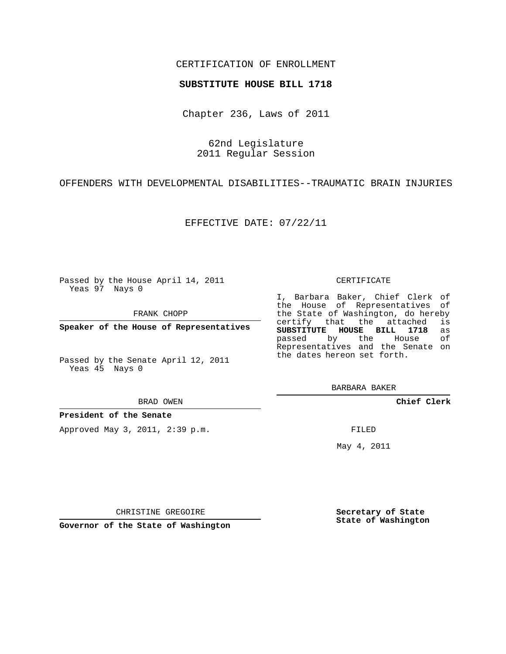## CERTIFICATION OF ENROLLMENT

## **SUBSTITUTE HOUSE BILL 1718**

Chapter 236, Laws of 2011

62nd Legislature 2011 Regular Session

OFFENDERS WITH DEVELOPMENTAL DISABILITIES--TRAUMATIC BRAIN INJURIES

EFFECTIVE DATE: 07/22/11

Passed by the House April 14, 2011 Yeas 97 Nays 0

FRANK CHOPP

**Speaker of the House of Representatives**

Passed by the Senate April 12, 2011 Yeas 45 Nays 0

#### BRAD OWEN

**President of the Senate**

Approved May 3, 2011, 2:39 p.m.

## CERTIFICATE

I, Barbara Baker, Chief Clerk of the House of Representatives of the State of Washington, do hereby<br>certify that the attached is certify that the attached **SUBSTITUTE HOUSE BILL 1718** as passed by the House of Representatives and the Senate on the dates hereon set forth.

BARBARA BAKER

**Chief Clerk**

FILED

May 4, 2011

**Secretary of State State of Washington**

CHRISTINE GREGOIRE

**Governor of the State of Washington**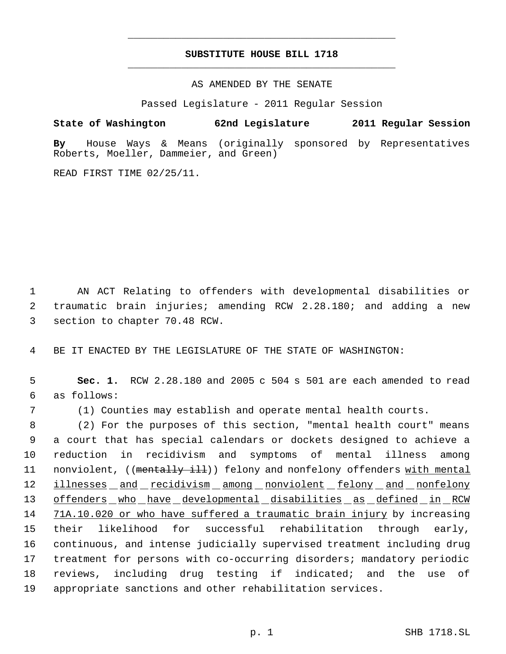# **SUBSTITUTE HOUSE BILL 1718** \_\_\_\_\_\_\_\_\_\_\_\_\_\_\_\_\_\_\_\_\_\_\_\_\_\_\_\_\_\_\_\_\_\_\_\_\_\_\_\_\_\_\_\_\_

\_\_\_\_\_\_\_\_\_\_\_\_\_\_\_\_\_\_\_\_\_\_\_\_\_\_\_\_\_\_\_\_\_\_\_\_\_\_\_\_\_\_\_\_\_

AS AMENDED BY THE SENATE

Passed Legislature - 2011 Regular Session

**State of Washington 62nd Legislature 2011 Regular Session By** House Ways & Means (originally sponsored by Representatives Roberts, Moeller, Dammeier, and Green)

READ FIRST TIME 02/25/11.

 1 AN ACT Relating to offenders with developmental disabilities or 2 traumatic brain injuries; amending RCW 2.28.180; and adding a new 3 section to chapter 70.48 RCW.

4 BE IT ENACTED BY THE LEGISLATURE OF THE STATE OF WASHINGTON:

 5 **Sec. 1.** RCW 2.28.180 and 2005 c 504 s 501 are each amended to read 6 as follows:

7 (1) Counties may establish and operate mental health courts.

 (2) For the purposes of this section, "mental health court" means a court that has special calendars or dockets designed to achieve a reduction in recidivism and symptoms of mental illness among 11 nonviolent, ((mentally ill)) felony and nonfelony offenders with mental 12 illnesses and recidivism among nonviolent felony and nonfelony 13 offenders who have developmental disabilities as defined in RCW 14 71A.10.020 or who have suffered a traumatic brain injury by increasing their likelihood for successful rehabilitation through early, continuous, and intense judicially supervised treatment including drug treatment for persons with co-occurring disorders; mandatory periodic reviews, including drug testing if indicated; and the use of appropriate sanctions and other rehabilitation services.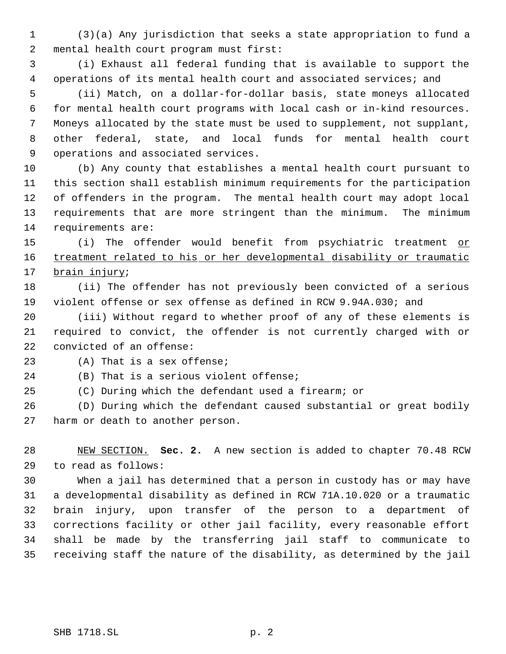(3)(a) Any jurisdiction that seeks a state appropriation to fund a mental health court program must first:

 (i) Exhaust all federal funding that is available to support the operations of its mental health court and associated services; and

 (ii) Match, on a dollar-for-dollar basis, state moneys allocated for mental health court programs with local cash or in-kind resources. Moneys allocated by the state must be used to supplement, not supplant, other federal, state, and local funds for mental health court operations and associated services.

 (b) Any county that establishes a mental health court pursuant to this section shall establish minimum requirements for the participation of offenders in the program. The mental health court may adopt local requirements that are more stringent than the minimum. The minimum requirements are:

15 (i) The offender would benefit from psychiatric treatment or 16 treatment related to his or her developmental disability or traumatic 17 brain injury;

 (ii) The offender has not previously been convicted of a serious violent offense or sex offense as defined in RCW 9.94A.030; and

 (iii) Without regard to whether proof of any of these elements is required to convict, the offender is not currently charged with or convicted of an offense:

(A) That is a sex offense;

(B) That is a serious violent offense;

(C) During which the defendant used a firearm; or

 (D) During which the defendant caused substantial or great bodily harm or death to another person.

 NEW SECTION. **Sec. 2.** A new section is added to chapter 70.48 RCW to read as follows:

 When a jail has determined that a person in custody has or may have a developmental disability as defined in RCW 71A.10.020 or a traumatic brain injury, upon transfer of the person to a department of corrections facility or other jail facility, every reasonable effort shall be made by the transferring jail staff to communicate to receiving staff the nature of the disability, as determined by the jail